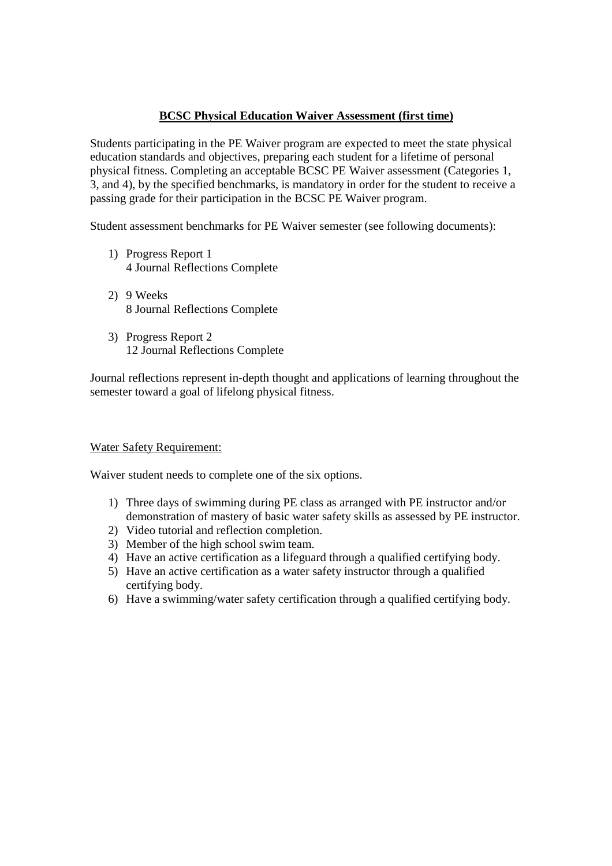# **BCSC Physical Education Waiver Assessment (first time)**

Students participating in the PE Waiver program are expected to meet the state physical education standards and objectives, preparing each student for a lifetime of personal physical fitness. Completing an acceptable BCSC PE Waiver assessment (Categories 1, 3, and 4), by the specified benchmarks, is mandatory in order for the student to receive a passing grade for their participation in the BCSC PE Waiver program.

Student assessment benchmarks for PE Waiver semester (see following documents):

- 1) Progress Report 1 4 Journal Reflections Complete
- 2) 9 Weeks 8 Journal Reflections Complete
- 3) Progress Report 2 12 Journal Reflections Complete

Journal reflections represent in-depth thought and applications of learning throughout the semester toward a goal of lifelong physical fitness.

#### Water Safety Requirement:

Waiver student needs to complete one of the six options.

- 1) Three days of swimming during PE class as arranged with PE instructor and/or demonstration of mastery of basic water safety skills as assessed by PE instructor.
- 2) Video tutorial and reflection completion.
- 3) Member of the high school swim team.
- 4) Have an active certification as a lifeguard through a qualified certifying body.
- 5) Have an active certification as a water safety instructor through a qualified certifying body.
- 6) Have a swimming/water safety certification through a qualified certifying body.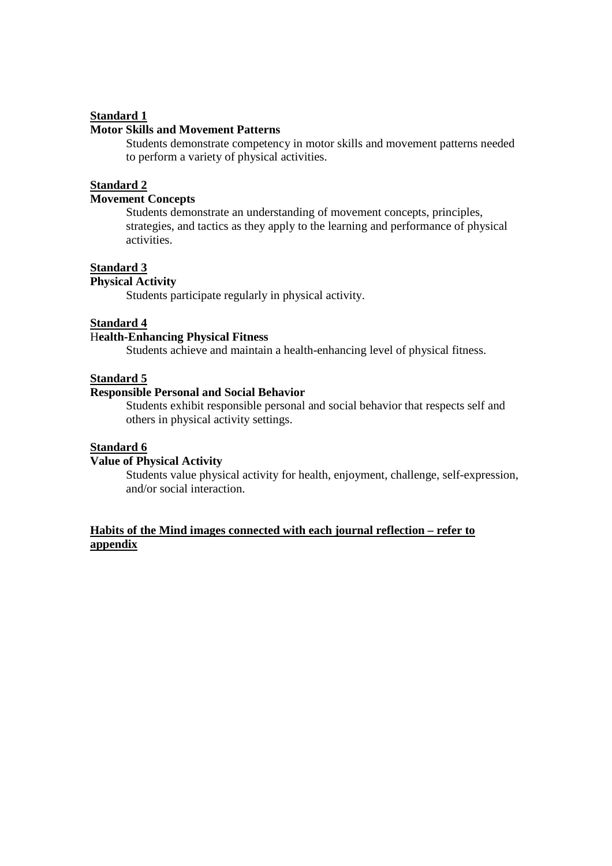### **Standard 1**

### **Motor Skills and Movement Patterns**

Students demonstrate competency in motor skills and movement patterns needed to perform a variety of physical activities.

#### **Standard 2**

# **Movement Concepts**

Students demonstrate an understanding of movement concepts, principles, strategies, and tactics as they apply to the learning and performance of physical activities.

## **Standard 3**

# **Physical Activity**

Students participate regularly in physical activity.

#### **Standard 4**

### H**ealth-Enhancing Physical Fitness**

Students achieve and maintain a health-enhancing level of physical fitness.

# **Standard 5**

#### **Responsible Personal and Social Behavior**

 Students exhibit responsible personal and social behavior that respects self and others in physical activity settings.

#### **Standard 6**

#### **Value of Physical Activity**

 Students value physical activity for health, enjoyment, challenge, self-expression, and/or social interaction.

### **Habits of the Mind images connected with each journal reflection – refer to appendix**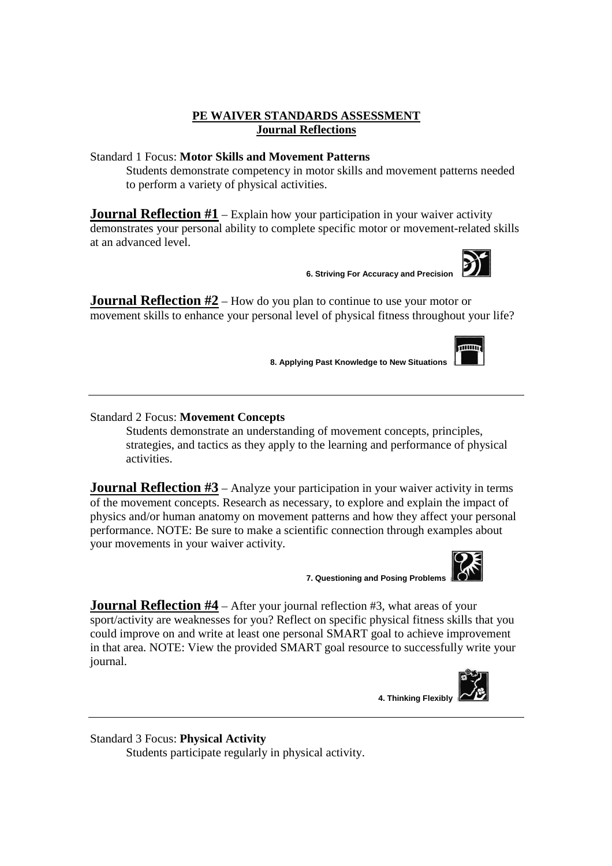### **PE WAIVER STANDARDS ASSESSMENT Journal Reflections**

### Standard 1 Focus: **Motor Skills and Movement Patterns**

Students demonstrate competency in motor skills and movement patterns needed to perform a variety of physical activities.

**Journal Reflection #1** – Explain how your participation in your waiver activity demonstrates your personal ability to complete specific motor or movement-related skills at an advanced level.

**6. Striving For Accuracy and Precision** 

**Journal Reflection #2** – How do you plan to continue to use your motor or movement skills to enhance your personal level of physical fitness throughout your life?

**8. Applying Past Knowledge to New Situations** 

Standard 2 Focus: **Movement Concepts**

Students demonstrate an understanding of movement concepts, principles, strategies, and tactics as they apply to the learning and performance of physical activities.

**Journal Reflection #3** – Analyze your participation in your waiver activity in terms of the movement concepts. Research as necessary, to explore and explain the impact of physics and/or human anatomy on movement patterns and how they affect your personal performance. NOTE: Be sure to make a scientific connection through examples about your movements in your waiver activity.

**7. Questioning and Posing Problems** 

**Journal Reflection #4** – After your journal reflection #3, what areas of your sport/activity are weaknesses for you? Reflect on specific physical fitness skills that you could improve on and write at least one personal SMART goal to achieve improvement in that area. NOTE: View the provided SMART goal resource to successfully write your journal.

**4. Thinking Flexibly** 

Standard 3 Focus: **Physical Activity** Students participate regularly in physical activity.



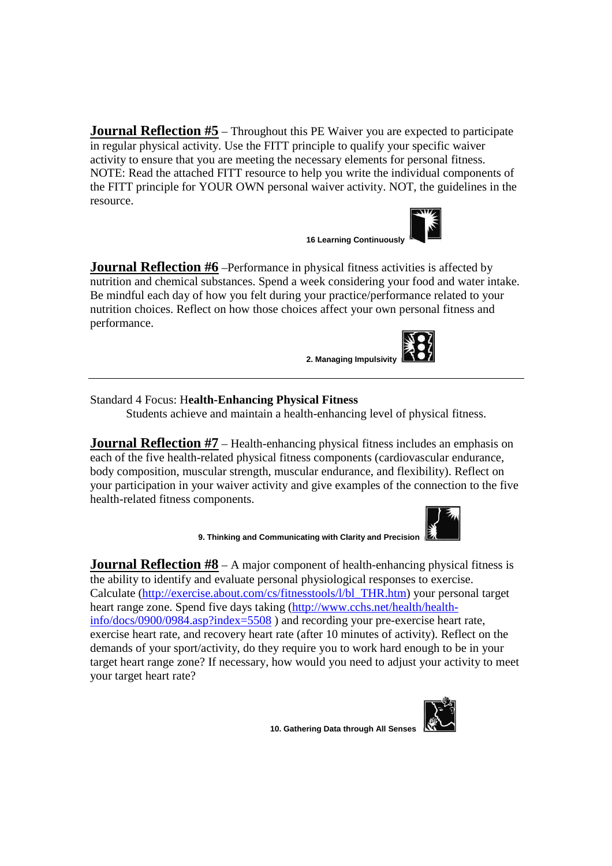**Journal Reflection #5** – Throughout this PE Waiver you are expected to participate in regular physical activity. Use the FITT principle to qualify your specific waiver activity to ensure that you are meeting the necessary elements for personal fitness. NOTE: Read the attached FITT resource to help you write the individual components of the FITT principle for YOUR OWN personal waiver activity. NOT, the guidelines in the resource.

**16 Learning Continuously** 

**Journal Reflection #6** –Performance in physical fitness activities is affected by nutrition and chemical substances. Spend a week considering your food and water intake. Be mindful each day of how you felt during your practice/performance related to your nutrition choices. Reflect on how those choices affect your own personal fitness and performance.

**2. Managing Impulsivity** 

Standard 4 Focus: H**ealth-Enhancing Physical Fitness**

Students achieve and maintain a health-enhancing level of physical fitness.

**Journal Reflection #7** – Health-enhancing physical fitness includes an emphasis on each of the five health-related physical fitness components (cardiovascular endurance, body composition, muscular strength, muscular endurance, and flexibility). Reflect on your participation in your waiver activity and give examples of the connection to the five health-related fitness components.



**Journal Reflection #8** – A major component of health-enhancing physical fitness is the ability to identify and evaluate personal physiological responses to exercise. Calculate (http://exercise.about.com/cs/fitnesstools/l/bl\_THR.htm) your personal target heart range zone. Spend five days taking (http://www.cchs.net/health/healthinfo/docs/0900/0984.asp?index=5508 ) and recording your pre-exercise heart rate, exercise heart rate, and recovery heart rate (after 10 minutes of activity). Reflect on the demands of your sport/activity, do they require you to work hard enough to be in your target heart range zone? If necessary, how would you need to adjust your activity to meet your target heart rate?



**10. Gathering Data through All Senses**